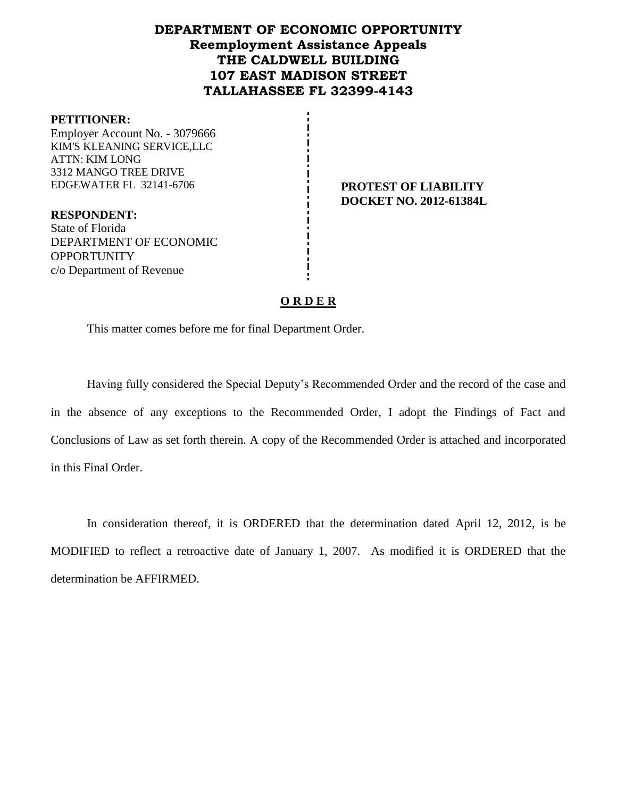# **DEPARTMENT OF ECONOMIC OPPORTUNITY Reemployment Assistance Appeals THE CALDWELL BUILDING 107 EAST MADISON STREET TALLAHASSEE FL 32399-4143**

### **PETITIONER:**

OPPORTUNITY

c/o Department of Revenue

Employer Account No. - 3079666 KIM'S KLEANING SERVICE,LLC ATTN: KIM LONG 3312 MANGO TREE DRIVE EDGEWATER FL 32141-6706 **PROTEST OF LIABILITY**

**RESPONDENT:** State of Florida DEPARTMENT OF ECONOMIC **DOCKET NO. 2012-61384L**

## **O R D E R**

This matter comes before me for final Department Order.

Having fully considered the Special Deputy's Recommended Order and the record of the case and in the absence of any exceptions to the Recommended Order, I adopt the Findings of Fact and Conclusions of Law as set forth therein. A copy of the Recommended Order is attached and incorporated in this Final Order.

In consideration thereof, it is ORDERED that the determination dated April 12, 2012, is be MODIFIED to reflect a retroactive date of January 1, 2007. As modified it is ORDERED that the determination be AFFIRMED.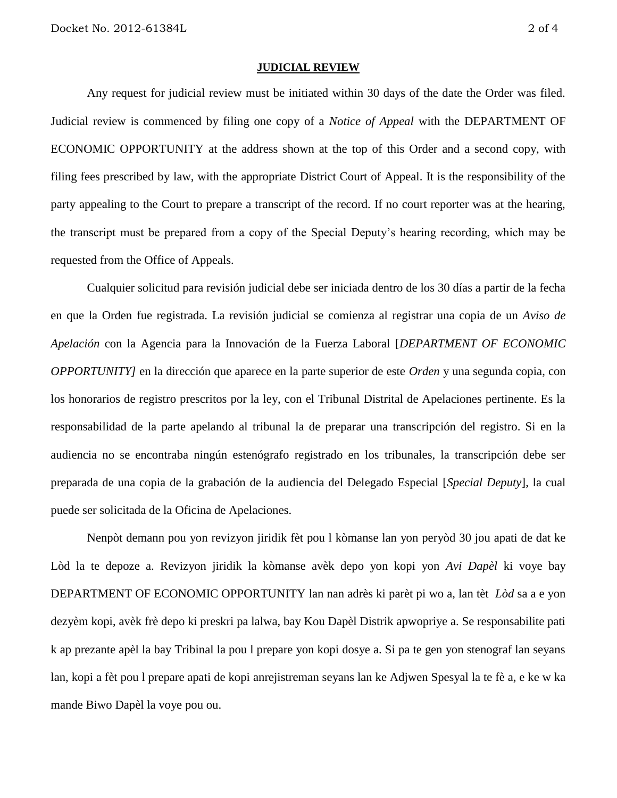#### **JUDICIAL REVIEW**

Any request for judicial review must be initiated within 30 days of the date the Order was filed. Judicial review is commenced by filing one copy of a *Notice of Appeal* with the DEPARTMENT OF ECONOMIC OPPORTUNITY at the address shown at the top of this Order and a second copy, with filing fees prescribed by law, with the appropriate District Court of Appeal. It is the responsibility of the party appealing to the Court to prepare a transcript of the record. If no court reporter was at the hearing, the transcript must be prepared from a copy of the Special Deputy's hearing recording, which may be requested from the Office of Appeals.

Cualquier solicitud para revisión judicial debe ser iniciada dentro de los 30 días a partir de la fecha en que la Orden fue registrada. La revisión judicial se comienza al registrar una copia de un *Aviso de Apelación* con la Agencia para la Innovación de la Fuerza Laboral [*DEPARTMENT OF ECONOMIC OPPORTUNITY]* en la dirección que aparece en la parte superior de este *Orden* y una segunda copia, con los honorarios de registro prescritos por la ley, con el Tribunal Distrital de Apelaciones pertinente. Es la responsabilidad de la parte apelando al tribunal la de preparar una transcripción del registro. Si en la audiencia no se encontraba ningún estenógrafo registrado en los tribunales, la transcripción debe ser preparada de una copia de la grabación de la audiencia del Delegado Especial [*Special Deputy*], la cual puede ser solicitada de la Oficina de Apelaciones.

Nenpòt demann pou yon revizyon jiridik fèt pou l kòmanse lan yon peryòd 30 jou apati de dat ke Lòd la te depoze a. Revizyon jiridik la kòmanse avèk depo yon kopi yon *Avi Dapèl* ki voye bay DEPARTMENT OF ECONOMIC OPPORTUNITY lan nan adrès ki parèt pi wo a, lan tèt *Lòd* sa a e yon dezyèm kopi, avèk frè depo ki preskri pa lalwa, bay Kou Dapèl Distrik apwopriye a. Se responsabilite pati k ap prezante apèl la bay Tribinal la pou l prepare yon kopi dosye a. Si pa te gen yon stenograf lan seyans lan, kopi a fèt pou l prepare apati de kopi anrejistreman seyans lan ke Adjwen Spesyal la te fè a, e ke w ka mande Biwo Dapèl la voye pou ou.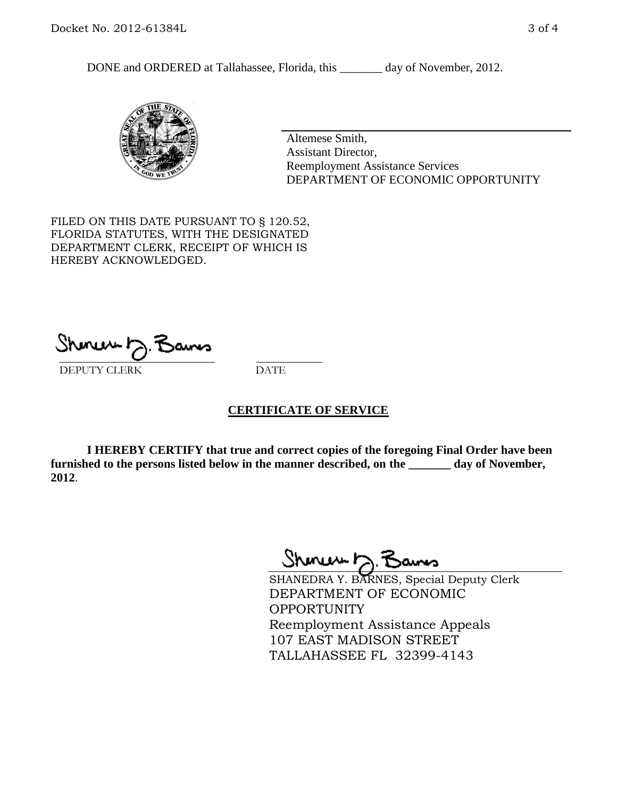DONE and ORDERED at Tallahassee, Florida, this \_\_\_\_\_\_\_ day of November, 2012.



Altemese Smith, Assistant Director, Reemployment Assistance Services DEPARTMENT OF ECONOMIC OPPORTUNITY

FILED ON THIS DATE PURSUANT TO § 120.52, FLORIDA STATUTES, WITH THE DESIGNATED DEPARTMENT CLERK, RECEIPT OF WHICH IS HEREBY ACKNOWLEDGED.

 $\overline{\phantom{a}}$  ,  $\overline{\phantom{a}}$  ,  $\overline{\phantom{a}}$  ,  $\overline{\phantom{a}}$  ,  $\overline{\phantom{a}}$  ,  $\overline{\phantom{a}}$  ,  $\overline{\phantom{a}}$  ,  $\overline{\phantom{a}}$ DEPUTY CLERK DATE

## **CERTIFICATE OF SERVICE**

**I HEREBY CERTIFY that true and correct copies of the foregoing Final Order have been furnished to the persons listed below in the manner described, on the \_\_\_\_\_\_\_ day of November, 2012**.

Shoner D. Bans

SHANEDRA Y. BARNES, Special Deputy Clerk DEPARTMENT OF ECONOMIC OPPORTUNITY Reemployment Assistance Appeals 107 EAST MADISON STREET TALLAHASSEE FL 32399-4143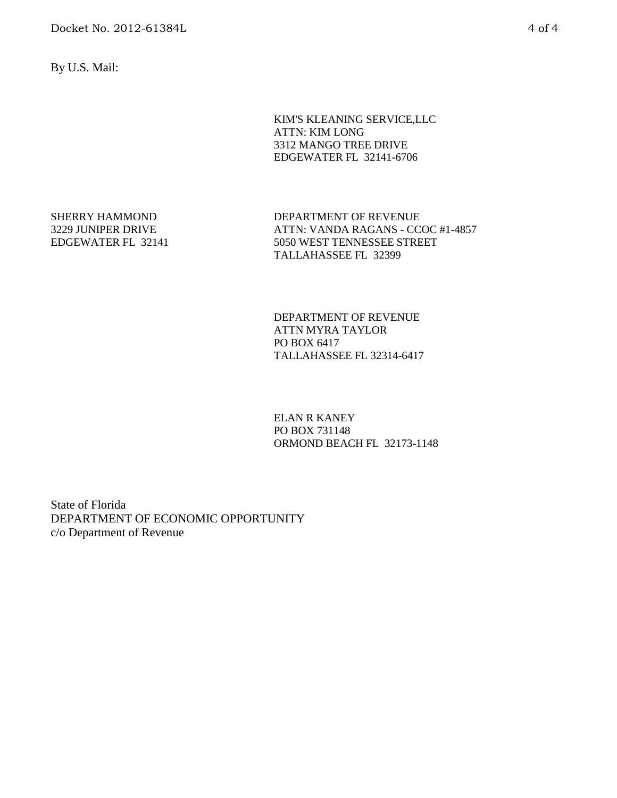By U.S. Mail:

KIM'S KLEANING SERVICE,LLC ATTN: KIM LONG 3312 MANGO TREE DRIVE EDGEWATER FL 32141-6706

SHERRY HAMMOND 3229 JUNIPER DRIVE EDGEWATER FL 32141 DEPARTMENT OF REVENUE ATTN: VANDA RAGANS - CCOC #1-4857 5050 WEST TENNESSEE STREET TALLAHASSEE FL 32399

DEPARTMENT OF REVENUE ATTN MYRA TAYLOR PO BOX 6417 TALLAHASSEE FL 32314-6417

ELAN R KANEY PO BOX 731148 ORMOND BEACH FL 32173-1148

State of Florida DEPARTMENT OF ECONOMIC OPPORTUNITY c/o Department of Revenue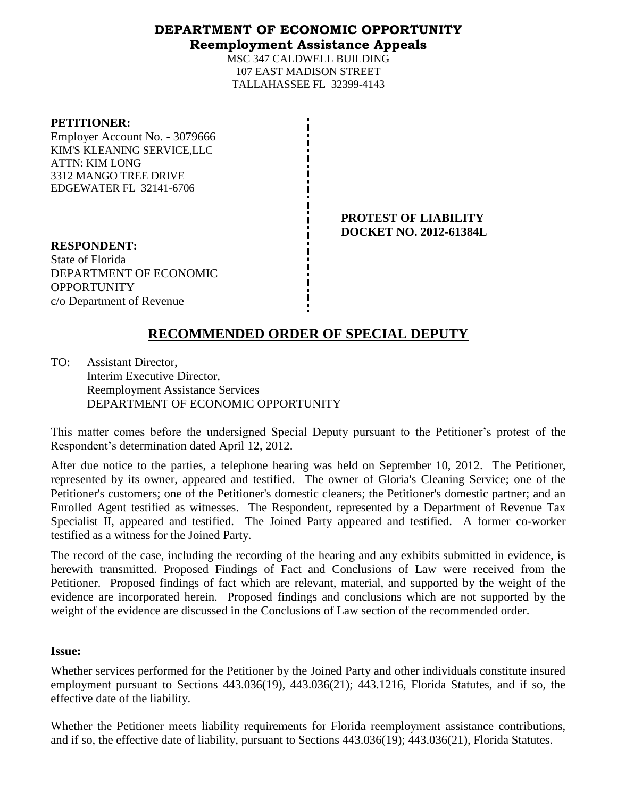# **DEPARTMENT OF ECONOMIC OPPORTUNITY Reemployment Assistance Appeals**

MSC 347 CALDWELL BUILDING 107 EAST MADISON STREET TALLAHASSEE FL 32399-4143

### **PETITIONER:**

Employer Account No. - 3079666 KIM'S KLEANING SERVICE,LLC ATTN: KIM LONG 3312 MANGO TREE DRIVE EDGEWATER FL 32141-6706

> **PROTEST OF LIABILITY DOCKET NO. 2012-61384L**

**RESPONDENT:** State of Florida DEPARTMENT OF ECONOMIC **OPPORTUNITY** c/o Department of Revenue

# **RECOMMENDED ORDER OF SPECIAL DEPUTY**

TO: Assistant Director, Interim Executive Director, Reemployment Assistance Services DEPARTMENT OF ECONOMIC OPPORTUNITY

This matter comes before the undersigned Special Deputy pursuant to the Petitioner's protest of the Respondent's determination dated April 12, 2012.

After due notice to the parties, a telephone hearing was held on September 10, 2012. The Petitioner, represented by its owner, appeared and testified. The owner of Gloria's Cleaning Service; one of the Petitioner's customers; one of the Petitioner's domestic cleaners; the Petitioner's domestic partner; and an Enrolled Agent testified as witnesses. The Respondent, represented by a Department of Revenue Tax Specialist II, appeared and testified. The Joined Party appeared and testified. A former co-worker testified as a witness for the Joined Party.

The record of the case, including the recording of the hearing and any exhibits submitted in evidence, is herewith transmitted. Proposed Findings of Fact and Conclusions of Law were received from the Petitioner. Proposed findings of fact which are relevant, material, and supported by the weight of the evidence are incorporated herein. Proposed findings and conclusions which are not supported by the weight of the evidence are discussed in the Conclusions of Law section of the recommended order.

## **Issue:**

Whether services performed for the Petitioner by the Joined Party and other individuals constitute insured employment pursuant to Sections 443.036(19), 443.036(21); 443.1216, Florida Statutes, and if so, the effective date of the liability.

Whether the Petitioner meets liability requirements for Florida reemployment assistance contributions, and if so, the effective date of liability, pursuant to Sections 443.036(19); 443.036(21), Florida Statutes.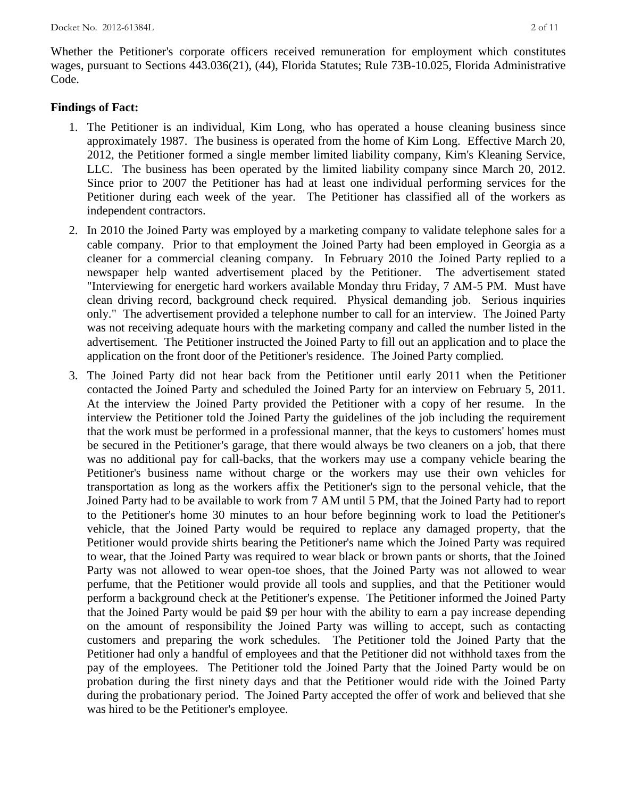Whether the Petitioner's corporate officers received remuneration for employment which constitutes wages, pursuant to Sections 443.036(21), (44), Florida Statutes; Rule 73B-10.025, Florida Administrative Code.

### **Findings of Fact:**

- 1. The Petitioner is an individual, Kim Long, who has operated a house cleaning business since approximately 1987. The business is operated from the home of Kim Long. Effective March 20, 2012, the Petitioner formed a single member limited liability company, Kim's Kleaning Service, LLC. The business has been operated by the limited liability company since March 20, 2012. Since prior to 2007 the Petitioner has had at least one individual performing services for the Petitioner during each week of the year. The Petitioner has classified all of the workers as independent contractors.
- 2. In 2010 the Joined Party was employed by a marketing company to validate telephone sales for a cable company. Prior to that employment the Joined Party had been employed in Georgia as a cleaner for a commercial cleaning company. In February 2010 the Joined Party replied to a newspaper help wanted advertisement placed by the Petitioner. The advertisement stated "Interviewing for energetic hard workers available Monday thru Friday, 7 AM-5 PM. Must have clean driving record, background check required. Physical demanding job. Serious inquiries only." The advertisement provided a telephone number to call for an interview. The Joined Party was not receiving adequate hours with the marketing company and called the number listed in the advertisement. The Petitioner instructed the Joined Party to fill out an application and to place the application on the front door of the Petitioner's residence. The Joined Party complied.
- 3. The Joined Party did not hear back from the Petitioner until early 2011 when the Petitioner contacted the Joined Party and scheduled the Joined Party for an interview on February 5, 2011. At the interview the Joined Party provided the Petitioner with a copy of her resume. In the interview the Petitioner told the Joined Party the guidelines of the job including the requirement that the work must be performed in a professional manner, that the keys to customers' homes must be secured in the Petitioner's garage, that there would always be two cleaners on a job, that there was no additional pay for call-backs, that the workers may use a company vehicle bearing the Petitioner's business name without charge or the workers may use their own vehicles for transportation as long as the workers affix the Petitioner's sign to the personal vehicle, that the Joined Party had to be available to work from 7 AM until 5 PM, that the Joined Party had to report to the Petitioner's home 30 minutes to an hour before beginning work to load the Petitioner's vehicle, that the Joined Party would be required to replace any damaged property, that the Petitioner would provide shirts bearing the Petitioner's name which the Joined Party was required to wear, that the Joined Party was required to wear black or brown pants or shorts, that the Joined Party was not allowed to wear open-toe shoes, that the Joined Party was not allowed to wear perfume, that the Petitioner would provide all tools and supplies, and that the Petitioner would perform a background check at the Petitioner's expense. The Petitioner informed the Joined Party that the Joined Party would be paid \$9 per hour with the ability to earn a pay increase depending on the amount of responsibility the Joined Party was willing to accept, such as contacting customers and preparing the work schedules. The Petitioner told the Joined Party that the Petitioner had only a handful of employees and that the Petitioner did not withhold taxes from the pay of the employees. The Petitioner told the Joined Party that the Joined Party would be on probation during the first ninety days and that the Petitioner would ride with the Joined Party during the probationary period. The Joined Party accepted the offer of work and believed that she was hired to be the Petitioner's employee.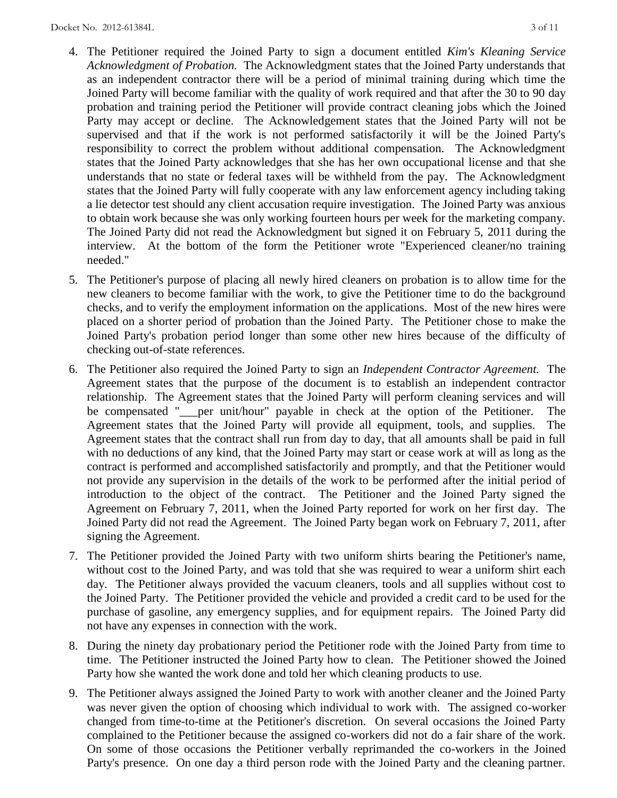- 4. The Petitioner required the Joined Party to sign a document entitled *Kim's Kleaning Service Acknowledgment of Probation.* The Acknowledgment states that the Joined Party understands that as an independent contractor there will be a period of minimal training during which time the Joined Party will become familiar with the quality of work required and that after the 30 to 90 day probation and training period the Petitioner will provide contract cleaning jobs which the Joined Party may accept or decline. The Acknowledgement states that the Joined Party will not be supervised and that if the work is not performed satisfactorily it will be the Joined Party's responsibility to correct the problem without additional compensation. The Acknowledgment states that the Joined Party acknowledges that she has her own occupational license and that she understands that no state or federal taxes will be withheld from the pay. The Acknowledgment states that the Joined Party will fully cooperate with any law enforcement agency including taking a lie detector test should any client accusation require investigation. The Joined Party was anxious to obtain work because she was only working fourteen hours per week for the marketing company. The Joined Party did not read the Acknowledgment but signed it on February 5, 2011 during the interview. At the bottom of the form the Petitioner wrote "Experienced cleaner/no training needed."
- 5. The Petitioner's purpose of placing all newly hired cleaners on probation is to allow time for the new cleaners to become familiar with the work, to give the Petitioner time to do the background checks, and to verify the employment information on the applications. Most of the new hires were placed on a shorter period of probation than the Joined Party. The Petitioner chose to make the Joined Party's probation period longer than some other new hires because of the difficulty of checking out-of-state references.
- 6. The Petitioner also required the Joined Party to sign an *Independent Contractor Agreement.* The Agreement states that the purpose of the document is to establish an independent contractor relationship. The Agreement states that the Joined Party will perform cleaning services and will be compensated "\_\_\_per unit/hour" payable in check at the option of the Petitioner. The Agreement states that the Joined Party will provide all equipment, tools, and supplies. The Agreement states that the contract shall run from day to day, that all amounts shall be paid in full with no deductions of any kind, that the Joined Party may start or cease work at will as long as the contract is performed and accomplished satisfactorily and promptly, and that the Petitioner would not provide any supervision in the details of the work to be performed after the initial period of introduction to the object of the contract. The Petitioner and the Joined Party signed the Agreement on February 7, 2011, when the Joined Party reported for work on her first day. The Joined Party did not read the Agreement. The Joined Party began work on February 7, 2011, after signing the Agreement.
- 7. The Petitioner provided the Joined Party with two uniform shirts bearing the Petitioner's name, without cost to the Joined Party, and was told that she was required to wear a uniform shirt each day. The Petitioner always provided the vacuum cleaners, tools and all supplies without cost to the Joined Party. The Petitioner provided the vehicle and provided a credit card to be used for the purchase of gasoline, any emergency supplies, and for equipment repairs. The Joined Party did not have any expenses in connection with the work.
- 8. During the ninety day probationary period the Petitioner rode with the Joined Party from time to time. The Petitioner instructed the Joined Party how to clean. The Petitioner showed the Joined Party how she wanted the work done and told her which cleaning products to use.
- 9. The Petitioner always assigned the Joined Party to work with another cleaner and the Joined Party was never given the option of choosing which individual to work with. The assigned co-worker changed from time-to-time at the Petitioner's discretion. On several occasions the Joined Party complained to the Petitioner because the assigned co-workers did not do a fair share of the work. On some of those occasions the Petitioner verbally reprimanded the co-workers in the Joined Party's presence. On one day a third person rode with the Joined Party and the cleaning partner.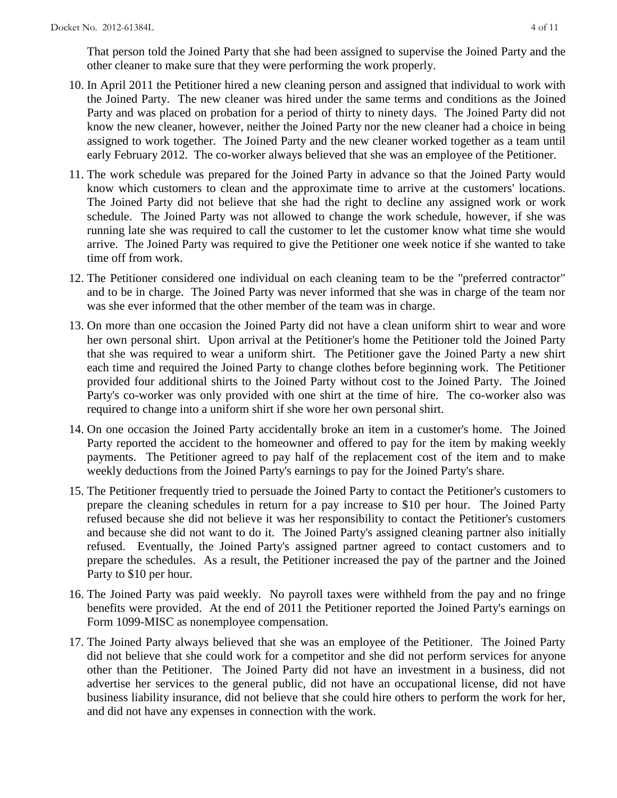That person told the Joined Party that she had been assigned to supervise the Joined Party and the other cleaner to make sure that they were performing the work properly.

- 10. In April 2011 the Petitioner hired a new cleaning person and assigned that individual to work with the Joined Party. The new cleaner was hired under the same terms and conditions as the Joined Party and was placed on probation for a period of thirty to ninety days. The Joined Party did not know the new cleaner, however, neither the Joined Party nor the new cleaner had a choice in being assigned to work together. The Joined Party and the new cleaner worked together as a team until early February 2012. The co-worker always believed that she was an employee of the Petitioner.
- 11. The work schedule was prepared for the Joined Party in advance so that the Joined Party would know which customers to clean and the approximate time to arrive at the customers' locations. The Joined Party did not believe that she had the right to decline any assigned work or work schedule. The Joined Party was not allowed to change the work schedule, however, if she was running late she was required to call the customer to let the customer know what time she would arrive. The Joined Party was required to give the Petitioner one week notice if she wanted to take time off from work.
- 12. The Petitioner considered one individual on each cleaning team to be the "preferred contractor" and to be in charge. The Joined Party was never informed that she was in charge of the team nor was she ever informed that the other member of the team was in charge.
- 13. On more than one occasion the Joined Party did not have a clean uniform shirt to wear and wore her own personal shirt. Upon arrival at the Petitioner's home the Petitioner told the Joined Party that she was required to wear a uniform shirt. The Petitioner gave the Joined Party a new shirt each time and required the Joined Party to change clothes before beginning work. The Petitioner provided four additional shirts to the Joined Party without cost to the Joined Party. The Joined Party's co-worker was only provided with one shirt at the time of hire. The co-worker also was required to change into a uniform shirt if she wore her own personal shirt.
- 14. On one occasion the Joined Party accidentally broke an item in a customer's home. The Joined Party reported the accident to the homeowner and offered to pay for the item by making weekly payments. The Petitioner agreed to pay half of the replacement cost of the item and to make weekly deductions from the Joined Party's earnings to pay for the Joined Party's share.
- 15. The Petitioner frequently tried to persuade the Joined Party to contact the Petitioner's customers to prepare the cleaning schedules in return for a pay increase to \$10 per hour. The Joined Party refused because she did not believe it was her responsibility to contact the Petitioner's customers and because she did not want to do it. The Joined Party's assigned cleaning partner also initially refused. Eventually, the Joined Party's assigned partner agreed to contact customers and to prepare the schedules. As a result, the Petitioner increased the pay of the partner and the Joined Party to \$10 per hour.
- 16. The Joined Party was paid weekly. No payroll taxes were withheld from the pay and no fringe benefits were provided. At the end of 2011 the Petitioner reported the Joined Party's earnings on Form 1099-MISC as nonemployee compensation.
- 17. The Joined Party always believed that she was an employee of the Petitioner. The Joined Party did not believe that she could work for a competitor and she did not perform services for anyone other than the Petitioner. The Joined Party did not have an investment in a business, did not advertise her services to the general public, did not have an occupational license, did not have business liability insurance, did not believe that she could hire others to perform the work for her, and did not have any expenses in connection with the work.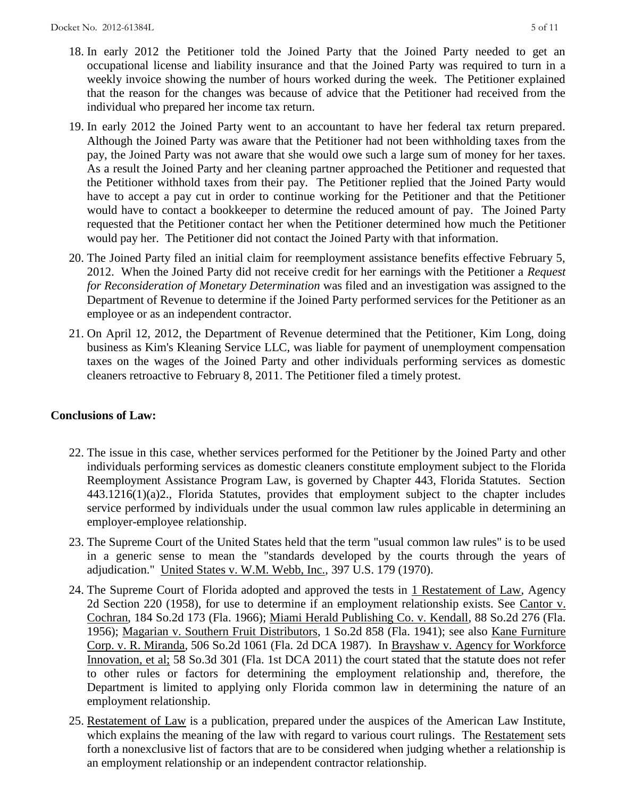- 18. In early 2012 the Petitioner told the Joined Party that the Joined Party needed to get an occupational license and liability insurance and that the Joined Party was required to turn in a weekly invoice showing the number of hours worked during the week. The Petitioner explained that the reason for the changes was because of advice that the Petitioner had received from the individual who prepared her income tax return.
- 19. In early 2012 the Joined Party went to an accountant to have her federal tax return prepared. Although the Joined Party was aware that the Petitioner had not been withholding taxes from the pay, the Joined Party was not aware that she would owe such a large sum of money for her taxes. As a result the Joined Party and her cleaning partner approached the Petitioner and requested that the Petitioner withhold taxes from their pay. The Petitioner replied that the Joined Party would have to accept a pay cut in order to continue working for the Petitioner and that the Petitioner would have to contact a bookkeeper to determine the reduced amount of pay. The Joined Party requested that the Petitioner contact her when the Petitioner determined how much the Petitioner would pay her. The Petitioner did not contact the Joined Party with that information.
- 20. The Joined Party filed an initial claim for reemployment assistance benefits effective February 5, 2012. When the Joined Party did not receive credit for her earnings with the Petitioner a *Request for Reconsideration of Monetary Determination* was filed and an investigation was assigned to the Department of Revenue to determine if the Joined Party performed services for the Petitioner as an employee or as an independent contractor.
- 21. On April 12, 2012, the Department of Revenue determined that the Petitioner, Kim Long, doing business as Kim's Kleaning Service LLC, was liable for payment of unemployment compensation taxes on the wages of the Joined Party and other individuals performing services as domestic cleaners retroactive to February 8, 2011. The Petitioner filed a timely protest.

# **Conclusions of Law:**

- 22. The issue in this case, whether services performed for the Petitioner by the Joined Party and other individuals performing services as domestic cleaners constitute employment subject to the Florida Reemployment Assistance Program Law, is governed by Chapter 443, Florida Statutes. Section 443.1216(1)(a)2., Florida Statutes, provides that employment subject to the chapter includes service performed by individuals under the usual common law rules applicable in determining an employer-employee relationship.
- 23. The Supreme Court of the United States held that the term "usual common law rules" is to be used in a generic sense to mean the "standards developed by the courts through the years of adjudication." United States v. W.M. Webb, Inc., 397 U.S. 179 (1970).
- 24. The Supreme Court of Florida adopted and approved the tests in 1 Restatement of Law, Agency 2d Section 220 (1958), for use to determine if an employment relationship exists. See Cantor v. Cochran, 184 So.2d 173 (Fla. 1966); Miami Herald Publishing Co. v. Kendall, 88 So.2d 276 (Fla. 1956); Magarian v. Southern Fruit Distributors, 1 So.2d 858 (Fla. 1941); see also Kane Furniture Corp. v. R. Miranda, 506 So.2d 1061 (Fla. 2d DCA 1987). In Brayshaw v. Agency for Workforce Innovation, et al; 58 So.3d 301 (Fla. 1st DCA 2011) the court stated that the statute does not refer to other rules or factors for determining the employment relationship and, therefore, the Department is limited to applying only Florida common law in determining the nature of an employment relationship.
- 25. Restatement of Law is a publication, prepared under the auspices of the American Law Institute, which explains the meaning of the law with regard to various court rulings. The Restatement sets forth a nonexclusive list of factors that are to be considered when judging whether a relationship is an employment relationship or an independent contractor relationship.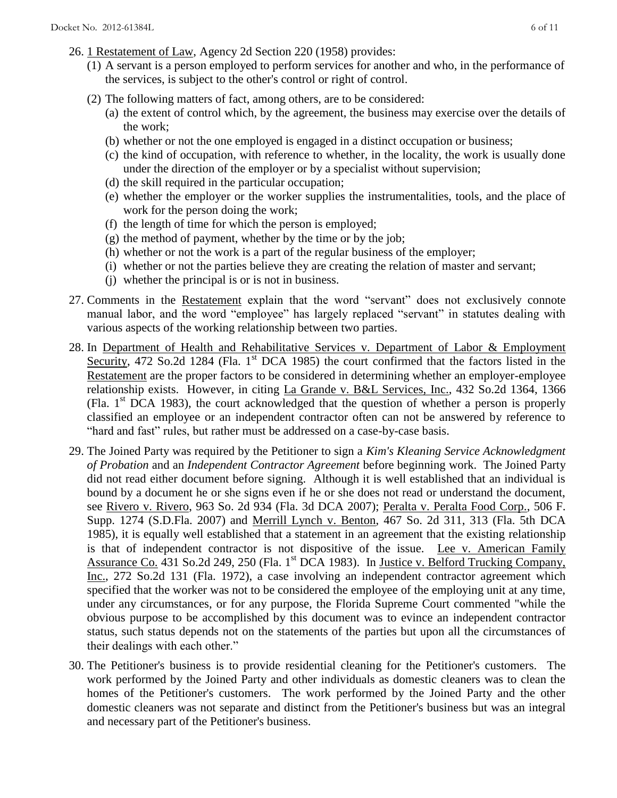- 26. 1 Restatement of Law, Agency 2d Section 220 (1958) provides:
	- (1) A servant is a person employed to perform services for another and who, in the performance of the services, is subject to the other's control or right of control.
	- (2) The following matters of fact, among others, are to be considered:
		- (a) the extent of control which, by the agreement, the business may exercise over the details of the work;
		- (b) whether or not the one employed is engaged in a distinct occupation or business;
		- (c) the kind of occupation, with reference to whether, in the locality, the work is usually done under the direction of the employer or by a specialist without supervision;
		- (d) the skill required in the particular occupation;
		- (e) whether the employer or the worker supplies the instrumentalities, tools, and the place of work for the person doing the work;
		- (f) the length of time for which the person is employed;
		- $(g)$  the method of payment, whether by the time or by the job;
		- (h) whether or not the work is a part of the regular business of the employer;
		- (i) whether or not the parties believe they are creating the relation of master and servant;
		- (j) whether the principal is or is not in business.
- 27. Comments in the Restatement explain that the word "servant" does not exclusively connote manual labor, and the word "employee" has largely replaced "servant" in statutes dealing with various aspects of the working relationship between two parties.
- 28. In Department of Health and Rehabilitative Services v. Department of Labor & Employment Security, 472 So.2d 1284 (Fla. 1<sup>st</sup> DCA 1985) the court confirmed that the factors listed in the Restatement are the proper factors to be considered in determining whether an employer-employee relationship exists. However, in citing La Grande v. B&L Services, Inc., 432 So.2d 1364, 1366 (Fla.  $1<sup>st</sup> DCA$  1983), the court acknowledged that the question of whether a person is properly classified an employee or an independent contractor often can not be answered by reference to "hard and fast" rules, but rather must be addressed on a case-by-case basis.
- 29. The Joined Party was required by the Petitioner to sign a *Kim's Kleaning Service Acknowledgment of Probation* and an *Independent Contractor Agreement* before beginning work. The Joined Party did not read either document before signing. Although it is well established that an individual is bound by a document he or she signs even if he or she does not read or understand the document, see Rivero v. Rivero, 963 So. 2d 934 (Fla. 3d DCA 2007); Peralta v. Peralta Food Corp., 506 F. Supp. 1274 (S.D.Fla. 2007) and Merrill Lynch v. Benton, 467 So. 2d 311, 313 (Fla. 5th DCA 1985), it is equally well established that a statement in an agreement that the existing relationship is that of independent contractor is not dispositive of the issue. Lee v. American Family Assurance Co. 431 So.2d 249, 250 (Fla. 1<sup>st</sup> DCA 1983). In Justice v. Belford Trucking Company, Inc., 272 So.2d 131 (Fla. 1972), a case involving an independent contractor agreement which specified that the worker was not to be considered the employee of the employing unit at any time, under any circumstances, or for any purpose, the Florida Supreme Court commented "while the obvious purpose to be accomplished by this document was to evince an independent contractor status, such status depends not on the statements of the parties but upon all the circumstances of their dealings with each other."
- 30. The Petitioner's business is to provide residential cleaning for the Petitioner's customers. The work performed by the Joined Party and other individuals as domestic cleaners was to clean the homes of the Petitioner's customers. The work performed by the Joined Party and the other domestic cleaners was not separate and distinct from the Petitioner's business but was an integral and necessary part of the Petitioner's business.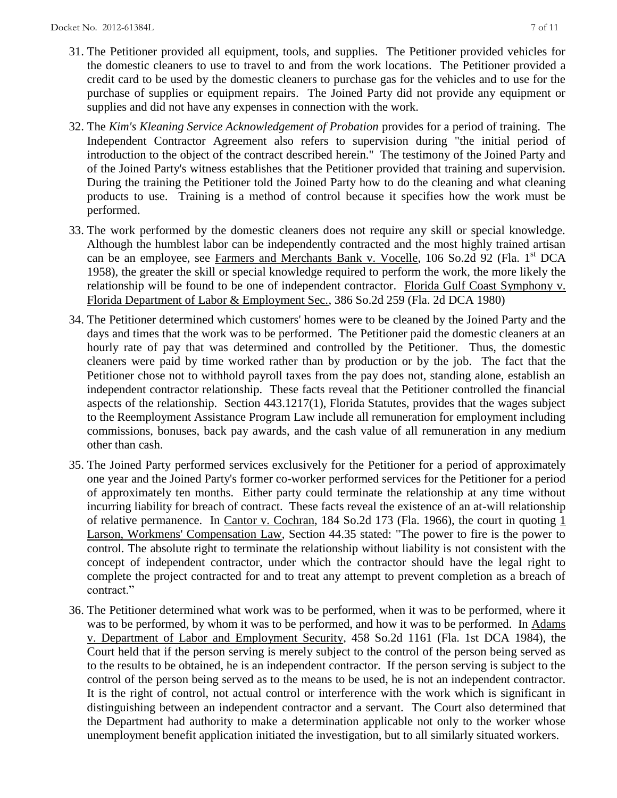- 31. The Petitioner provided all equipment, tools, and supplies. The Petitioner provided vehicles for the domestic cleaners to use to travel to and from the work locations. The Petitioner provided a credit card to be used by the domestic cleaners to purchase gas for the vehicles and to use for the purchase of supplies or equipment repairs. The Joined Party did not provide any equipment or supplies and did not have any expenses in connection with the work.
- 32. The *Kim's Kleaning Service Acknowledgement of Probation* provides for a period of training. The Independent Contractor Agreement also refers to supervision during "the initial period of introduction to the object of the contract described herein." The testimony of the Joined Party and of the Joined Party's witness establishes that the Petitioner provided that training and supervision. During the training the Petitioner told the Joined Party how to do the cleaning and what cleaning products to use. Training is a method of control because it specifies how the work must be performed.
- 33. The work performed by the domestic cleaners does not require any skill or special knowledge. Although the humblest labor can be independently contracted and the most highly trained artisan can be an employee, see Farmers and Merchants Bank v. Vocelle, 106 So.2d 92 (Fla. 1<sup>st</sup> DCA 1958), the greater the skill or special knowledge required to perform the work, the more likely the relationship will be found to be one of independent contractor. Florida Gulf Coast Symphony v. Florida Department of Labor & Employment Sec., 386 So.2d 259 (Fla. 2d DCA 1980)
- 34. The Petitioner determined which customers' homes were to be cleaned by the Joined Party and the days and times that the work was to be performed. The Petitioner paid the domestic cleaners at an hourly rate of pay that was determined and controlled by the Petitioner. Thus, the domestic cleaners were paid by time worked rather than by production or by the job. The fact that the Petitioner chose not to withhold payroll taxes from the pay does not, standing alone, establish an independent contractor relationship. These facts reveal that the Petitioner controlled the financial aspects of the relationship. Section 443.1217(1), Florida Statutes, provides that the wages subject to the Reemployment Assistance Program Law include all remuneration for employment including commissions, bonuses, back pay awards, and the cash value of all remuneration in any medium other than cash.
- 35. The Joined Party performed services exclusively for the Petitioner for a period of approximately one year and the Joined Party's former co-worker performed services for the Petitioner for a period of approximately ten months. Either party could terminate the relationship at any time without incurring liability for breach of contract. These facts reveal the existence of an at-will relationship of relative permanence. In Cantor v. Cochran, 184 So.2d 173 (Fla. 1966), the court in quoting 1 Larson, Workmens' Compensation Law, Section 44.35 stated: "The power to fire is the power to control. The absolute right to terminate the relationship without liability is not consistent with the concept of independent contractor, under which the contractor should have the legal right to complete the project contracted for and to treat any attempt to prevent completion as a breach of contract."
- 36. The Petitioner determined what work was to be performed, when it was to be performed, where it was to be performed, by whom it was to be performed, and how it was to be performed. In Adams v. Department of Labor and Employment Security, 458 So.2d 1161 (Fla. 1st DCA 1984), the Court held that if the person serving is merely subject to the control of the person being served as to the results to be obtained, he is an independent contractor. If the person serving is subject to the control of the person being served as to the means to be used, he is not an independent contractor. It is the right of control, not actual control or interference with the work which is significant in distinguishing between an independent contractor and a servant. The Court also determined that the Department had authority to make a determination applicable not only to the worker whose unemployment benefit application initiated the investigation, but to all similarly situated workers.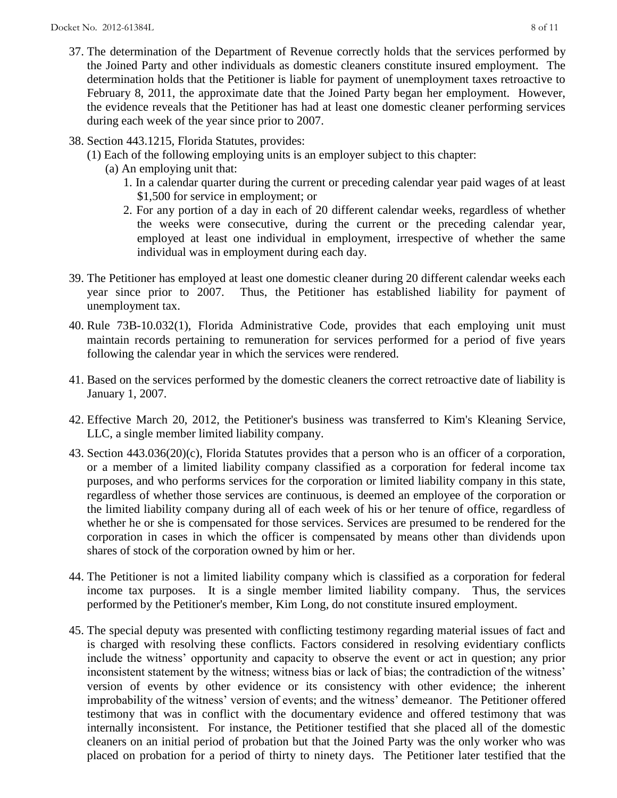- 37. The determination of the Department of Revenue correctly holds that the services performed by the Joined Party and other individuals as domestic cleaners constitute insured employment. The determination holds that the Petitioner is liable for payment of unemployment taxes retroactive to February 8, 2011, the approximate date that the Joined Party began her employment. However, the evidence reveals that the Petitioner has had at least one domestic cleaner performing services during each week of the year since prior to 2007.
- 38. Section 443.1215, Florida Statutes, provides:
	- (1) Each of the following employing units is an employer subject to this chapter:
		- (a) An employing unit that:
			- 1. In a calendar quarter during the current or preceding calendar year paid wages of at least \$1,500 for service in employment; or
			- 2. For any portion of a day in each of 20 different calendar weeks, regardless of whether the weeks were consecutive, during the current or the preceding calendar year, employed at least one individual in employment, irrespective of whether the same individual was in employment during each day.
- 39. The Petitioner has employed at least one domestic cleaner during 20 different calendar weeks each year since prior to 2007. Thus, the Petitioner has established liability for payment of unemployment tax.
- 40. Rule 73B-10.032(1), Florida Administrative Code, provides that each employing unit must maintain records pertaining to remuneration for services performed for a period of five years following the calendar year in which the services were rendered.
- 41. Based on the services performed by the domestic cleaners the correct retroactive date of liability is January 1, 2007.
- 42. Effective March 20, 2012, the Petitioner's business was transferred to Kim's Kleaning Service, LLC, a single member limited liability company.
- 43. Section 443.036(20)(c), Florida Statutes provides that a person who is an officer of a corporation, or a member of a limited liability company classified as a corporation for federal income tax purposes, and who performs services for the corporation or limited liability company in this state, regardless of whether those services are continuous, is deemed an employee of the corporation or the limited liability company during all of each week of his or her tenure of office, regardless of whether he or she is compensated for those services. Services are presumed to be rendered for the corporation in cases in which the officer is compensated by means other than dividends upon shares of stock of the corporation owned by him or her.
- 44. The Petitioner is not a limited liability company which is classified as a corporation for federal income tax purposes. It is a single member limited liability company. Thus, the services performed by the Petitioner's member, Kim Long, do not constitute insured employment.
- 45. The special deputy was presented with conflicting testimony regarding material issues of fact and is charged with resolving these conflicts. Factors considered in resolving evidentiary conflicts include the witness' opportunity and capacity to observe the event or act in question; any prior inconsistent statement by the witness; witness bias or lack of bias; the contradiction of the witness' version of events by other evidence or its consistency with other evidence; the inherent improbability of the witness' version of events; and the witness' demeanor. The Petitioner offered testimony that was in conflict with the documentary evidence and offered testimony that was internally inconsistent. For instance, the Petitioner testified that she placed all of the domestic cleaners on an initial period of probation but that the Joined Party was the only worker who was placed on probation for a period of thirty to ninety days. The Petitioner later testified that the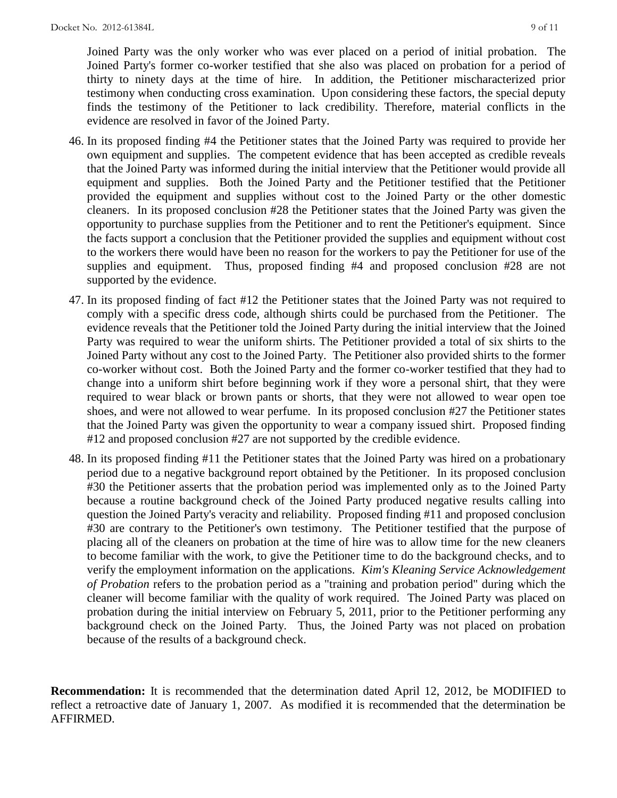Joined Party was the only worker who was ever placed on a period of initial probation. The Joined Party's former co-worker testified that she also was placed on probation for a period of thirty to ninety days at the time of hire. In addition, the Petitioner mischaracterized prior testimony when conducting cross examination. Upon considering these factors, the special deputy finds the testimony of the Petitioner to lack credibility. Therefore, material conflicts in the evidence are resolved in favor of the Joined Party.

- 46. In its proposed finding #4 the Petitioner states that the Joined Party was required to provide her own equipment and supplies. The competent evidence that has been accepted as credible reveals that the Joined Party was informed during the initial interview that the Petitioner would provide all equipment and supplies. Both the Joined Party and the Petitioner testified that the Petitioner provided the equipment and supplies without cost to the Joined Party or the other domestic cleaners. In its proposed conclusion #28 the Petitioner states that the Joined Party was given the opportunity to purchase supplies from the Petitioner and to rent the Petitioner's equipment. Since the facts support a conclusion that the Petitioner provided the supplies and equipment without cost to the workers there would have been no reason for the workers to pay the Petitioner for use of the supplies and equipment. Thus, proposed finding #4 and proposed conclusion #28 are not supported by the evidence.
- 47. In its proposed finding of fact #12 the Petitioner states that the Joined Party was not required to comply with a specific dress code, although shirts could be purchased from the Petitioner. The evidence reveals that the Petitioner told the Joined Party during the initial interview that the Joined Party was required to wear the uniform shirts. The Petitioner provided a total of six shirts to the Joined Party without any cost to the Joined Party. The Petitioner also provided shirts to the former co-worker without cost. Both the Joined Party and the former co-worker testified that they had to change into a uniform shirt before beginning work if they wore a personal shirt, that they were required to wear black or brown pants or shorts, that they were not allowed to wear open toe shoes, and were not allowed to wear perfume. In its proposed conclusion #27 the Petitioner states that the Joined Party was given the opportunity to wear a company issued shirt. Proposed finding #12 and proposed conclusion #27 are not supported by the credible evidence.
- 48. In its proposed finding #11 the Petitioner states that the Joined Party was hired on a probationary period due to a negative background report obtained by the Petitioner. In its proposed conclusion #30 the Petitioner asserts that the probation period was implemented only as to the Joined Party because a routine background check of the Joined Party produced negative results calling into question the Joined Party's veracity and reliability. Proposed finding #11 and proposed conclusion #30 are contrary to the Petitioner's own testimony. The Petitioner testified that the purpose of placing all of the cleaners on probation at the time of hire was to allow time for the new cleaners to become familiar with the work, to give the Petitioner time to do the background checks, and to verify the employment information on the applications. *Kim's Kleaning Service Acknowledgement of Probation* refers to the probation period as a "training and probation period" during which the cleaner will become familiar with the quality of work required. The Joined Party was placed on probation during the initial interview on February 5, 2011, prior to the Petitioner performing any background check on the Joined Party. Thus, the Joined Party was not placed on probation because of the results of a background check.

**Recommendation:** It is recommended that the determination dated April 12, 2012, be MODIFIED to reflect a retroactive date of January 1, 2007. As modified it is recommended that the determination be AFFIRMED.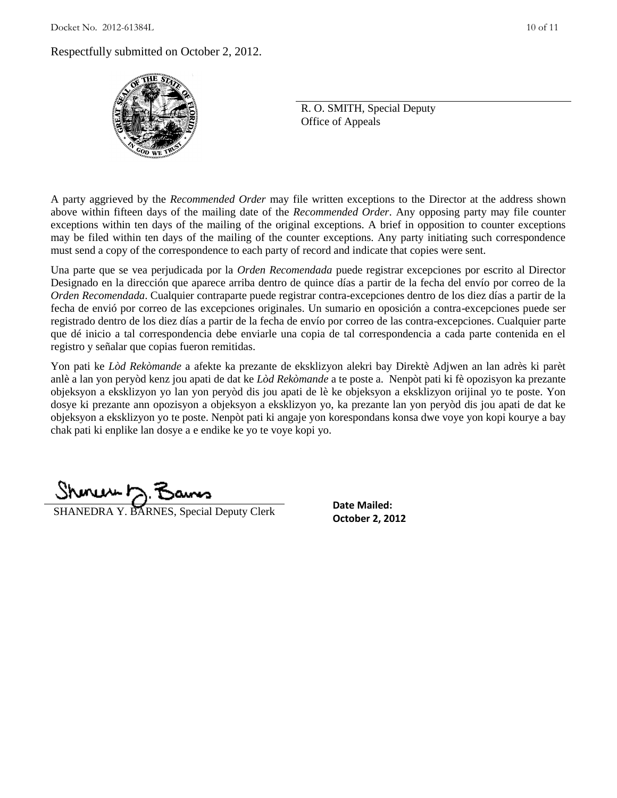### Respectfully submitted on October 2, 2012.



R. O. SMITH, Special Deputy Office of Appeals

A party aggrieved by the *Recommended Order* may file written exceptions to the Director at the address shown above within fifteen days of the mailing date of the *Recommended Order*. Any opposing party may file counter exceptions within ten days of the mailing of the original exceptions. A brief in opposition to counter exceptions may be filed within ten days of the mailing of the counter exceptions. Any party initiating such correspondence must send a copy of the correspondence to each party of record and indicate that copies were sent.

Una parte que se vea perjudicada por la *Orden Recomendada* puede registrar excepciones por escrito al Director Designado en la dirección que aparece arriba dentro de quince días a partir de la fecha del envío por correo de la *Orden Recomendada*. Cualquier contraparte puede registrar contra-excepciones dentro de los diez días a partir de la fecha de envió por correo de las excepciones originales. Un sumario en oposición a contra-excepciones puede ser registrado dentro de los diez días a partir de la fecha de envío por correo de las contra-excepciones. Cualquier parte que dé inicio a tal correspondencia debe enviarle una copia de tal correspondencia a cada parte contenida en el registro y señalar que copias fueron remitidas.

Yon pati ke *Lòd Rekòmande* a afekte ka prezante de eksklizyon alekri bay Direktè Adjwen an lan adrès ki parèt anlè a lan yon peryòd kenz jou apati de dat ke *Lòd Rekòmande* a te poste a. Nenpòt pati ki fè opozisyon ka prezante objeksyon a eksklizyon yo lan yon peryòd dis jou apati de lè ke objeksyon a eksklizyon orijinal yo te poste. Yon dosye ki prezante ann opozisyon a objeksyon a eksklizyon yo, ka prezante lan yon peryòd dis jou apati de dat ke objeksyon a eksklizyon yo te poste. Nenpòt pati ki angaje yon korespondans konsa dwe voye yon kopi kourye a bay chak pati ki enplike lan dosye a e endike ke yo te voye kopi yo.

**SHANEDRA Y. BARNES, Special Deputy Clerk** Detober 2, 2012

**Date Mailed:**